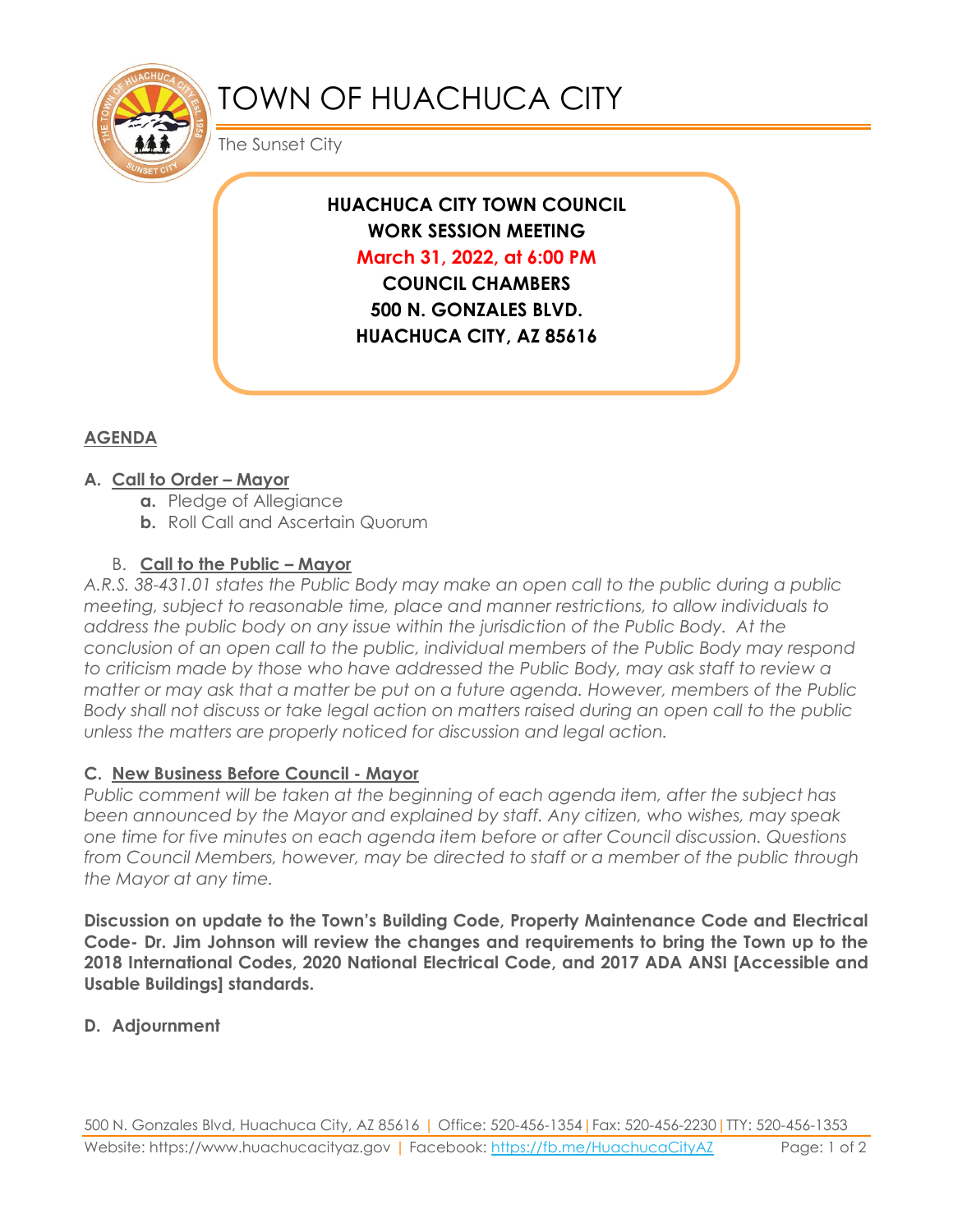

# TOWN OF HUACHUCA CITY

The Sunset City

**HUACHUCA CITY TOWN COUNCIL WORK SESSION MEETING March 31, 2022, at 6:00 PM COUNCIL CHAMBERS**

**500 N. GONZALES BLVD. HUACHUCA CITY, AZ 85616**

## **AGENDA**

#### **A. Call to Order – Mayor**

- **a.** Pledge of Allegiance
- **b.** Roll Call and Ascertain Quorum

### B. **Call to the Public – Mayor**

*A.R.S. 38-431.01 states the Public Body may make an open call to the public during a public meeting, subject to reasonable time, place and manner restrictions, to allow individuals to address the public body on any issue within the jurisdiction of the Public Body. At the conclusion of an open call to the public, individual members of the Public Body may respond to criticism made by those who have addressed the Public Body, may ask staff to review a matter or may ask that a matter be put on a future agenda. However, members of the Public Body shall not discuss or take legal action on matters raised during an open call to the public unless the matters are properly noticed for discussion and legal action.*

#### **C. New Business Before Council - Mayor**

*Public comment will be taken at the beginning of each agenda item, after the subject has been announced by the Mayor and explained by staff. Any citizen, who wishes, may speak one time for five minutes on each agenda item before or after Council discussion. Questions from Council Members, however, may be directed to staff or a member of the public through the Mayor at any time.* 

**Discussion on update to the Town's Building Code, Property Maintenance Code and Electrical Code- Dr. Jim Johnson will review the changes and requirements to bring the Town up to the 2018 International Codes, 2020 National Electrical Code, and 2017 ADA ANSI [Accessible and Usable Buildings] standards.**

#### **D. Adjournment**